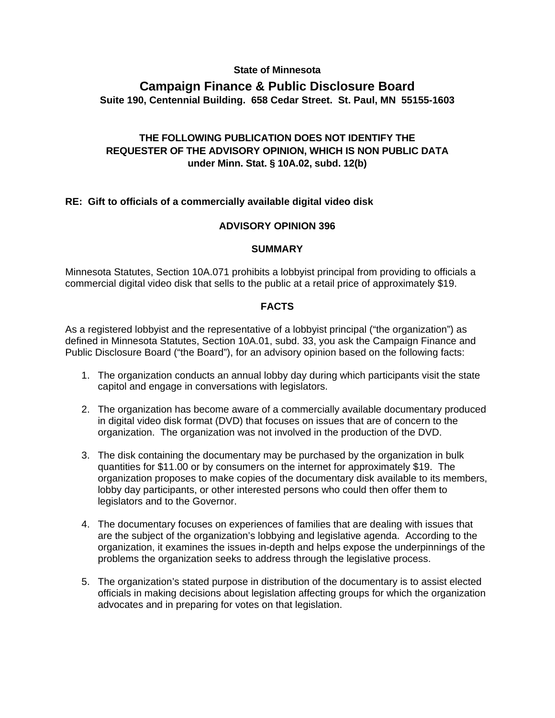## **State of Minnesota**

## **Campaign Finance & Public Disclosure Board Suite 190, Centennial Building. 658 Cedar Street. St. Paul, MN 55155-1603**

# **THE FOLLOWING PUBLICATION DOES NOT IDENTIFY THE REQUESTER OF THE ADVISORY OPINION, WHICH IS NON PUBLIC DATA under Minn. Stat. § 10A.02, subd. 12(b)**

## **RE: Gift to officials of a commercially available digital video disk**

## **ADVISORY OPINION 396**

#### **SUMMARY**

Minnesota Statutes, Section 10A.071 prohibits a lobbyist principal from providing to officials a commercial digital video disk that sells to the public at a retail price of approximately \$19.

#### **FACTS**

As a registered lobbyist and the representative of a lobbyist principal ("the organization") as defined in Minnesota Statutes, Section 10A.01, subd. 33, you ask the Campaign Finance and Public Disclosure Board ("the Board"), for an advisory opinion based on the following facts:

- 1. The organization conducts an annual lobby day during which participants visit the state capitol and engage in conversations with legislators.
- 2. The organization has become aware of a commercially available documentary produced in digital video disk format (DVD) that focuses on issues that are of concern to the organization. The organization was not involved in the production of the DVD.
- 3. The disk containing the documentary may be purchased by the organization in bulk quantities for \$11.00 or by consumers on the internet for approximately \$19. The organization proposes to make copies of the documentary disk available to its members, lobby day participants, or other interested persons who could then offer them to legislators and to the Governor.
- 4. The documentary focuses on experiences of families that are dealing with issues that are the subject of the organization's lobbying and legislative agenda. According to the organization, it examines the issues in-depth and helps expose the underpinnings of the problems the organization seeks to address through the legislative process.
- 5. The organization's stated purpose in distribution of the documentary is to assist elected officials in making decisions about legislation affecting groups for which the organization advocates and in preparing for votes on that legislation.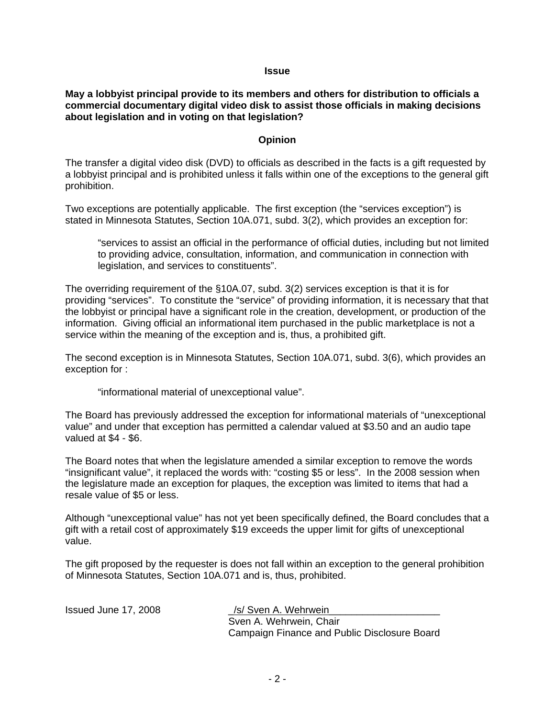#### **Issue**

### **May a lobbyist principal provide to its members and others for distribution to officials a commercial documentary digital video disk to assist those officials in making decisions about legislation and in voting on that legislation?**

### **Opinion**

The transfer a digital video disk (DVD) to officials as described in the facts is a gift requested by a lobbyist principal and is prohibited unless it falls within one of the exceptions to the general gift prohibition.

Two exceptions are potentially applicable. The first exception (the "services exception") is stated in Minnesota Statutes, Section 10A.071, subd. 3(2), which provides an exception for:

"services to assist an official in the performance of official duties, including but not limited to providing advice, consultation, information, and communication in connection with legislation, and services to constituents".

The overriding requirement of the §10A.07, subd. 3(2) services exception is that it is for providing "services". To constitute the "service" of providing information, it is necessary that that the lobbyist or principal have a significant role in the creation, development, or production of the information. Giving official an informational item purchased in the public marketplace is not a service within the meaning of the exception and is, thus, a prohibited gift.

The second exception is in Minnesota Statutes, Section 10A.071, subd. 3(6), which provides an exception for :

"informational material of unexceptional value".

The Board has previously addressed the exception for informational materials of "unexceptional value" and under that exception has permitted a calendar valued at \$3.50 and an audio tape valued at \$4 - \$6.

The Board notes that when the legislature amended a similar exception to remove the words "insignificant value", it replaced the words with: "costing \$5 or less". In the 2008 session when the legislature made an exception for plaques, the exception was limited to items that had a resale value of \$5 or less.

Although "unexceptional value" has not yet been specifically defined, the Board concludes that a gift with a retail cost of approximately \$19 exceeds the upper limit for gifts of unexceptional value.

The gift proposed by the requester is does not fall within an exception to the general prohibition of Minnesota Statutes, Section 10A.071 and is, thus, prohibited.

Issued June 17, 2008 **Supply** 1st Value 18, Wehrwein Sven A. Wehrwein, Chair Campaign Finance and Public Disclosure Board